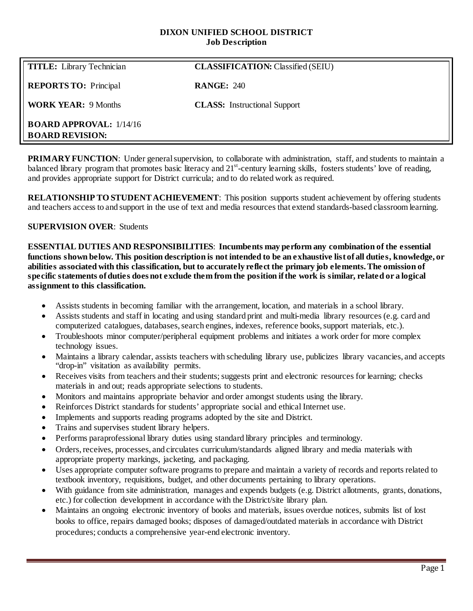### **DIXON UNIFIED SCHOOL DISTRICT Job Description**

| <b>TITLE:</b> Library Technician                           | <b>CLASSIFICATION: Classified (SEIU)</b> |
|------------------------------------------------------------|------------------------------------------|
| <b>REPORTS TO:</b> Principal                               | <b>RANGE: 240</b>                        |
| <b>WORK YEAR: 9 Months</b>                                 | <b>CLASS:</b> Instructional Support      |
| <b>BOARD APPROVAL:</b> $1/14/16$<br><b>BOARD REVISION:</b> |                                          |

**PRIMARY FUNCTION:** Under general supervision, to collaborate with administration, staff, and students to maintain a balanced library program that promotes basic literacy and  $21<sup>st</sup>$ -century learning skills, fosters students' love of reading, and provides appropriate support for District curricula; and to do related work as required.

**RELATIONSHIP TO STUDENT ACHIEVEMENT**: This position supports student achievement by offering students and teachers access to and support in the use of text and media resources that extend standards-based classroom learning.

### **SUPERVISION OVER**: Students

**ESSENTIAL DUTIES AND RESPONSIBILITIES**: **Incumbents may perform any combination of the essential functions shown below. This position description is not intended to be an exhaustive list of all duties, knowledge, or abilities associated with this classification, but to accurately reflect the primary job elements. The omission of specific statements ofduties does not exclude them from the position if the work is similar, related or a logical assignment to this classification.**

- Assists students in becoming familiar with the arrangement, location, and materials in a school library.
- Assists students and staff in locating and using standard print and multi-media library resources (e.g. card and computerized catalogues, databases, search engines, indexes, reference books, support materials, etc.).
- Troubleshoots minor computer/peripheral equipment problems and initiates a work order for more complex technology issues.
- Maintains a library calendar, assists teachers with scheduling library use, publicizes library vacancies, and accepts "drop-in" visitation as availability permits.
- Receives visits from teachers and their students; suggests print and electronic resources for learning; checks materials in and out; reads appropriate selections to students.
- Monitors and maintains appropriate behavior and order amongst students using the library.
- Reinforces District standards for students' appropriate social and ethical Internet use.
- Implements and supports reading programs adopted by the site and District.
- Trains and supervises student library helpers.
- Performs paraprofessional library duties using standard library principles and terminology.
- Orders, receives, processes, and circulates curriculum/standards aligned library and media materials with appropriate property markings, jacketing, and packaging.
- Uses appropriate computer software programs to prepare and maintain a variety of records and reports related to textbook inventory, requisitions, budget, and other documents pertaining to library operations.
- With guidance from site administration, manages and expends budgets (e.g. District allotments, grants, donations, etc.) for collection development in accordance with the District/site library plan.
- Maintains an ongoing electronic inventory of books and materials, issues overdue notices, submits list of lost books to office, repairs damaged books; disposes of damaged/outdated materials in accordance with District procedures; conducts a comprehensive year-end electronic inventory.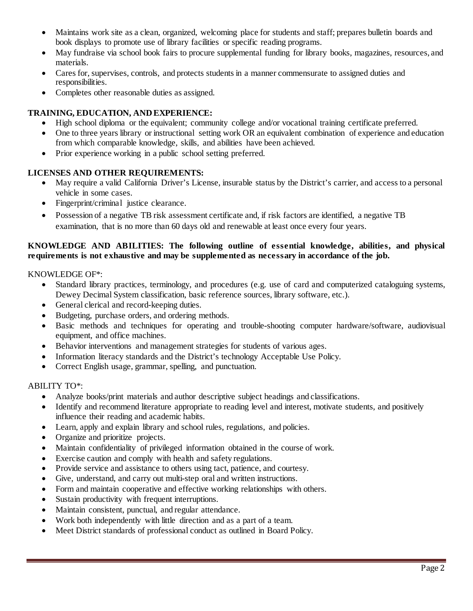- Maintains work site as a clean, organized, welcoming place for students and staff; prepares bulletin boards and book displays to promote use of library facilities or specific reading programs.
- May fundraise via school book fairs to procure supplemental funding for library books, magazines, resources, and materials.
- Cares for, supervises, controls, and protects students in a manner commensurate to assigned duties and responsibilities.
- Completes other reasonable duties as assigned.

# **TRAINING, EDUCATION, AND EXPERIENCE:**

- High school diploma or the equivalent; community college and/or vocational training certificate preferred.
- One to three years library or instructional setting work OR an equivalent combination of experience and education from which comparable knowledge, skills, and abilities have been achieved.
- Prior experience working in a public school setting preferred.

## **LICENSES AND OTHER REQUIREMENTS:**

- May require a valid California Driver's License, insurable status by the District's carrier, and access to a personal vehicle in some cases.
- Fingerprint/criminal justice clearance.
- Possession of a negative TB risk assessment certificate and, if risk factors are identified, a negative TB examination, that is no more than 60 days old and renewable at least once every four years.

## **KNOWLEDGE AND ABILITIES: The following outline of essential knowledge, abilities, and physical requirements is not exhaustive and may be supplemented as necessary in accordance of the job.**

KNOWLEDGE OF\*:

- Standard library practices, terminology, and procedures (e.g. use of card and computerized cataloguing systems, Dewey Decimal System classification, basic reference sources, library software, etc.).
- General clerical and record-keeping duties.
- Budgeting, purchase orders, and ordering methods.
- Basic methods and techniques for operating and trouble-shooting computer hardware/software, audiovisual equipment, and office machines.
- Behavior interventions and management strategies for students of various ages.
- Information literacy standards and the District's technology Acceptable Use Policy.
- Correct English usage, grammar, spelling, and punctuation.

### ABILITY TO\*:

- Analyze books/print materials and author descriptive subject headings and classifications.
- Identify and recommend literature appropriate to reading level and interest, motivate students, and positively influence their reading and academic habits.
- Learn, apply and explain library and school rules, regulations, and policies.
- Organize and prioritize projects.
- Maintain confidentiality of privileged information obtained in the course of work.
- Exercise caution and comply with health and safety regulations.
- Provide service and assistance to others using tact, patience, and courtesy.
- Give, understand, and carry out multi-step oral and written instructions.
- Form and maintain cooperative and effective working relationships with others.
- Sustain productivity with frequent interruptions.
- Maintain consistent, punctual, and regular attendance.
- Work both independently with little direction and as a part of a team.
- Meet District standards of professional conduct as outlined in Board Policy.